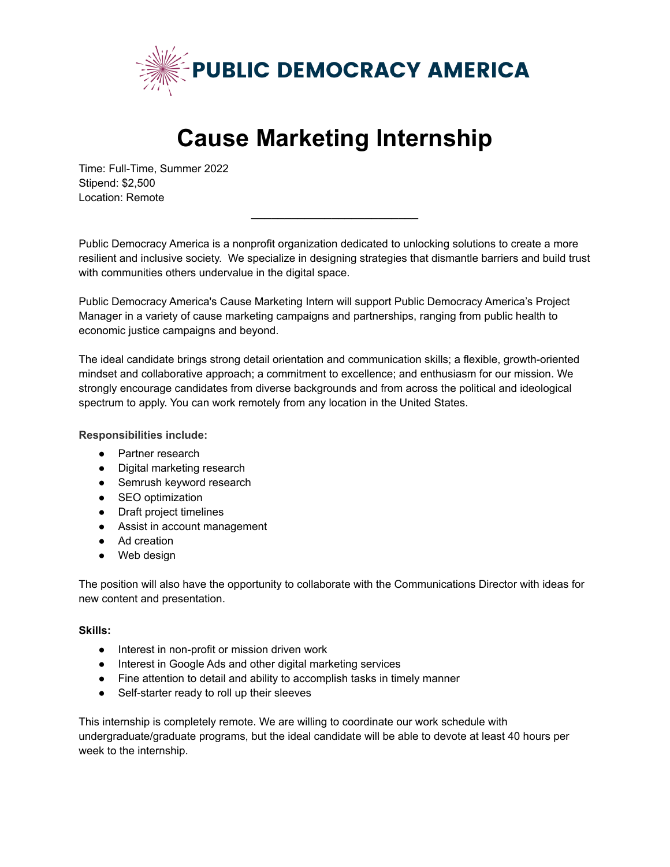

## **Cause Marketing Internship**

Time: Full-Time, Summer 2022 Stipend: \$2,500 Location: Remote

Public Democracy America is a nonprofit organization dedicated to unlocking solutions to create a more resilient and inclusive society. We specialize in designing strategies that dismantle barriers and build trust with communities others undervalue in the digital space.

**\_\_\_\_\_\_\_\_\_\_\_\_\_\_\_\_\_\_\_\_\_\_\_\_\_**

Public Democracy America's Cause Marketing Intern will support Public Democracy America's Project Manager in a variety of cause marketing campaigns and partnerships, ranging from public health to economic justice campaigns and beyond.

The ideal candidate brings strong detail orientation and communication skills; a flexible, growth-oriented mindset and collaborative approach; a commitment to excellence; and enthusiasm for our mission. We strongly encourage candidates from diverse backgrounds and from across the political and ideological spectrum to apply. You can work remotely from any location in the United States.

**Responsibilities include:**

- Partner research
- Digital marketing research
- Semrush keyword research
- SEO optimization
- Draft project timelines
- Assist in account management
- Ad creation
- Web design

The position will also have the opportunity to collaborate with the Communications Director with ideas for new content and presentation.

## **Skills:**

- Interest in non-profit or mission driven work
- Interest in Google Ads and other digital marketing services
- Fine attention to detail and ability to accomplish tasks in timely manner
- Self-starter ready to roll up their sleeves

This internship is completely remote. We are willing to coordinate our work schedule with undergraduate/graduate programs, but the ideal candidate will be able to devote at least 40 hours per week to the internship.